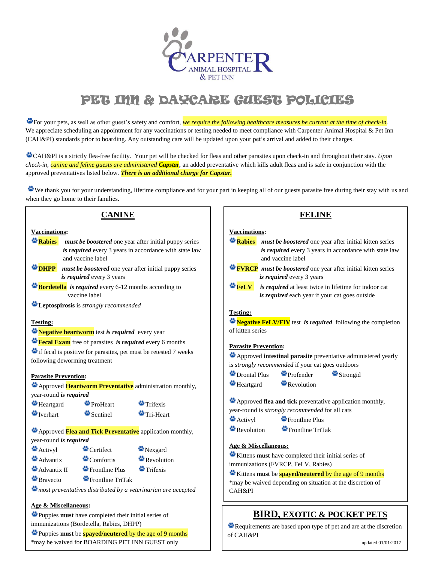

# PET INN & DAYCARE GUEST POLICIES

 $\bullet$  For your pets, as well as other guest's safety and comfort, *we require the following healthcare measures be current at the time of check-in.* We appreciate scheduling an appointment for any vaccinations or testing needed to meet compliance with Carpenter Animal Hospital & Pet Inn (CAH&PI) standards prior to boarding. Any outstanding care will be updated upon your pet's arrival and added to their charges.

CAH&PI is a strictly flea-free facility. Your pet will be checked for fleas and other parasites upon check-in and throughout their stay. *Upon check-in, canine and feline guests are administered Capstar,* an added preventative which kills adult fleas and is safe in conjunction with the approved preventatives listed below. *There is an additional charge for Capstar.*

We thank you for your understanding, lifetime compliance and for your part in keeping all of our guests parasite free during their stay with us and when they go home to their families.

## **CANINE**

#### **Vaccinations:**

- **Rabies** *must be boostered* one year after initial puppy series *is required* every 3 years in accordance with state law and vaccine label
- **DHPP** *must be boostered* one year after initial puppy series *is required* every 3 years
- **Bordetella** *is required* every 6-12 months according to vaccine label
- **Example 2** Leptospirosis is *strongly recommended*

#### **Testing:**

## **Negative heartworm** test *is required* every year

**Figurer 2.1** Figure **Figure 1** Figure **Figure 1** Figure **1** Figure **1** Figure **1** Figure 1 Figure 1 Section 1 Figure 1 Section 1 Figure 1 Section 1 Figure 1 Section 1 Section 1 Section 1 Section 1 Section 1 Section 1 Sect

**if** fecal is positive for parasites, pet must be retested 7 weeks following deworming treatment

#### **Parasite Prevention:**

|                               |          | Approved Heartworm Preventative administration monthly, |
|-------------------------------|----------|---------------------------------------------------------|
| year-round <i>is required</i> |          |                                                         |
| $\bullet$ Heartgard           | ProHeart | $\blacksquare$ Trifexis                                 |
|                               |          |                                                         |

Iverhart Sentinel Tri-Heart

Approved **Flea and Tick Preventative** application monthly, year-round *is required*

| Activyl               | Certifect                   | Nexgard            |  |  |
|-----------------------|-----------------------------|--------------------|--|--|
| $A$ Advantix          | $\bullet$ Comfortis         | Revolution         |  |  |
| Advantix II           | <sup>1</sup> Frontline Plus | $\bullet$ Trifexis |  |  |
| <sup>2</sup> Bravecto | Frontline TriTak            |                    |  |  |

*most preventatives distributed by a veterinarian are accepted*

## **Age & Miscellaneous:**

Puppies **must** have completed their initial series of immunizations (Bordetella, Rabies, DHPP)

Puppies **must** be **spayed/neutered** by the age of 9 months \*may be waived for BOARDING PET INN GUEST only

## **FELINE**

## **Vaccinations:**

| Vaccinations:                                     |                                                                     |  |  |  |  |
|---------------------------------------------------|---------------------------------------------------------------------|--|--|--|--|
|                                                   | Rabies must be boostered one year after initial kitten series       |  |  |  |  |
|                                                   | is required every 3 years in accordance with state law              |  |  |  |  |
|                                                   | and vaccine label                                                   |  |  |  |  |
|                                                   | <b>FVRCP</b> must be boostered one year after initial kitten series |  |  |  |  |
|                                                   | is required every 3 years                                           |  |  |  |  |
|                                                   | <b>FeLV</b> is required at least twice in lifetime for indoor cat   |  |  |  |  |
|                                                   | is required each year if your cat goes outside                      |  |  |  |  |
|                                                   |                                                                     |  |  |  |  |
| <b>Testing:</b>                                   |                                                                     |  |  |  |  |
|                                                   | Negative FeLV/FIV test is required following the completion         |  |  |  |  |
| of kitten series                                  |                                                                     |  |  |  |  |
|                                                   |                                                                     |  |  |  |  |
|                                                   | <u> Parasite Prevention</u> :                                       |  |  |  |  |
|                                                   | Approved intestinal parasite preventative administered yearly       |  |  |  |  |
| is strongly recommended if your cat goes outdoors |                                                                     |  |  |  |  |
|                                                   | $\bullet$ Drontal Plus $\bullet$ Profender<br>Strongid              |  |  |  |  |
|                                                   | $\bullet$ Heartgard $\bullet$ Revolution                            |  |  |  |  |
|                                                   |                                                                     |  |  |  |  |
|                                                   | Approved flea and tick preventative application monthly,            |  |  |  |  |
|                                                   | year-round is <i>strongly recommended</i> for all cats              |  |  |  |  |
| Activyl                                           | <sup>•</sup> Frontline Plus                                         |  |  |  |  |
| $\bullet$ Revolution                              | Frontline TriTak                                                    |  |  |  |  |
|                                                   |                                                                     |  |  |  |  |
|                                                   |                                                                     |  |  |  |  |

## **Age & Miscellaneous:**

Kittens **must** have completed their initial series of immunizations (FVRCP, FeLV, Rabies)

Kittens **must** be **spayed/neutered** by the age of 9 months \*may be waived depending on situation at the discretion of

CAH&PI

i

## **BIRD, EXOTIC & POCKET PETS**

Requirements are based upon type of pet and are at the discretion of CAH&PI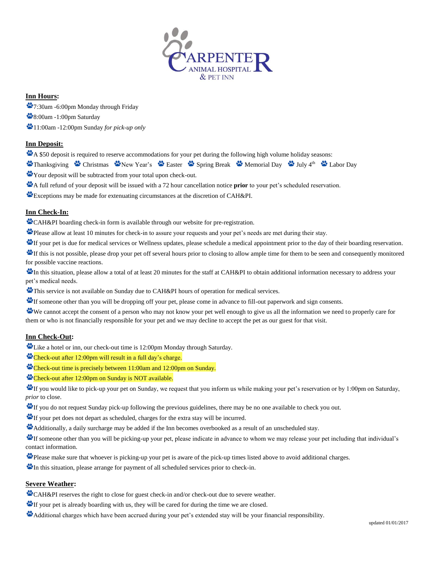

## **Inn Hours:**

- 7:30am -6:00pm Monday through Friday
- 8:00am -1:00pm Saturday
- 11:00am -12:00pm Sunday *for pick-up only*

## **Inn Deposit:**

- A \$50 deposit is required to reserve accommodations for your pet during the following high volume holiday seasons:
- Thanksgiving Christmas Chev Year's Chaster Christmas Spring Break Memorial Day Chuly 4<sup>th</sup> Cabor Day
- Your deposit will be subtracted from your total upon check-out.
- A full refund of your deposit will be issued with a 72 hour cancellation notice **prior** to your pet's scheduled reservation.
- Exceptions may be made for extenuating circumstances at the discretion of CAH&PI.

## **Inn Check-In:**

CAH&PI boarding check-in form is available through our website for pre-registration.

Please allow at least 10 minutes for check-in to assure your requests and your pet's needs are met during their stay.

- If your pet is due for medical services or Wellness updates, please schedule a medical appointment prior to the day of their boarding reservation.
- If this is not possible, please drop your pet off several hours prior to closing to allow ample time for them to be seen and consequently monitored for possible vaccine reactions.
- **<sup>10</sup>** In this situation, please allow a total of at least 20 minutes for the staff at CAH&PI to obtain additional information necessary to address your pet's medical needs.
- This service is not available on Sunday due to CAH&PI hours of operation for medical services.
- If someone other than you will be dropping off your pet, please come in advance to fill-out paperwork and sign consents.
- We cannot accept the consent of a person who may not know your pet well enough to give us all the information we need to properly care for them or who is not financially responsible for your pet and we may decline to accept the pet as our guest for that visit.

## **Inn Check-Out:**

Like a hotel or inn, our check-out time is 12:00pm Monday through Saturday.

- Check-out after 12:00pm will result in a full day's charge.
- Check-out time is precisely between 11:00am and 12:00pm on Sunday.
- Check-out after 12:00pm on Sunday is NOT available.

If you would like to pick-up your pet on Sunday, we request that you inform us while making your pet's reservation or by 1:00pm on Saturday, *prior* to close.

- If you do not request Sunday pick-up following the previous guidelines, there may be no one available to check you out.
- If your pet does not depart as scheduled, charges for the extra stay will be incurred.

Additionally, a daily surcharge may be added if the Inn becomes overbooked as a result of an unscheduled stay.

If someone other than you will be picking-up your pet, please indicate in advance to whom we may release your pet including that individual's contact information.

- Please make sure that whoever is picking-up your pet is aware of the pick-up times listed above to avoid additional charges.
- In this situation, please arrange for payment of all scheduled services prior to check-in.

## **Severe Weather:**

- CAH&PI reserves the right to close for guest check-in and/or check-out due to severe weather.
- If your pet is already boarding with us, they will be cared for during the time we are closed.
- Additional charges which have been accrued during your pet's extended stay will be your financial responsibility.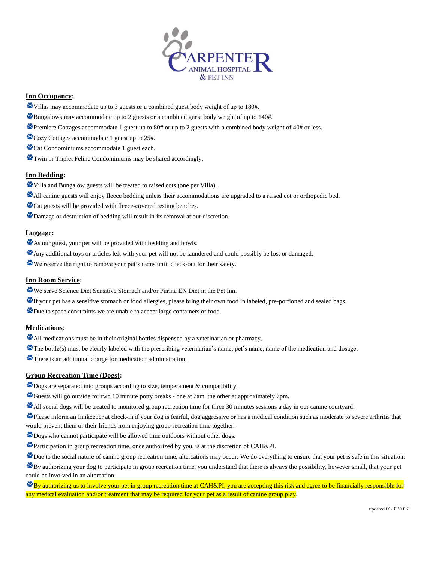

#### **Inn Occupancy:**

- Villas may accommodate up to 3 guests or a combined guest body weight of up to 180#.
- Bungalows may accommodate up to 2 guests or a combined guest body weight of up to 140#.
- Premiere Cottages accommodate 1 guest up to 80# or up to 2 guests with a combined body weight of 40# or less.
- Cozy Cottages accommodate 1 guest up to 25#.
- Cat Condominiums accommodate 1 guest each.
- Twin or Triplet Feline Condominiums may be shared accordingly.

#### **Inn Bedding:**

- Villa and Bungalow guests will be treated to raised cots (one per Villa).
- All canine guests will enjoy fleece bedding unless their accommodations are upgraded to a raised cot or orthopedic bed.
- Cat guests will be provided with fleece-covered resting benches.
- Damage or destruction of bedding will result in its removal at our discretion.

#### **Luggage:**

- As our guest, your pet will be provided with bedding and bowls.
- Any additional toys or articles left with your pet will not be laundered and could possibly be lost or damaged.
- We reserve the right to remove your pet's items until check-out for their safety.

#### **Inn Room Service**:

- We serve Science Diet Sensitive Stomach and/or Purina EN Diet in the Pet Inn.
- If your pet has a sensitive stomach or food allergies, please bring their own food in labeled, pre-portioned and sealed bags.
- Due to space constraints we are unable to accept large containers of food.

## **Medications**:

- All medications must be in their original bottles dispensed by a veterinarian or pharmacy.
- The bottle(s) must be clearly labeled with the prescribing veterinarian's name, pet's name, name of the medication and dosage.
- There is an additional charge for medication administration.

## **Group Recreation Time (Dogs):**

- **Dogs** are separated into groups according to size, temperament & compatibility.
- Guests will go outside for two 10 minute potty breaks one at 7am, the other at approximately 7pm.
- All social dogs will be treated to monitored group recreation time for three 30 minutes sessions a day in our canine courtyard.
- Please inform an Innkeeper at check-in if your dog is fearful, dog aggressive or has a medical condition such as moderate to severe arthritis that would prevent them or their friends from enjoying group recreation time together.
- **Dogs** who cannot participate will be allowed time outdoors without other dogs.
- Participation in group recreation time, once authorized by you, is at the discretion of CAH&PI.
- Due to the social nature of canine group recreation time, altercations may occur. We do everything to ensure that your pet is safe in this situation.

By authorizing your dog to participate in group recreation time, you understand that there is always the possibility, however small, that your pet could be involved in an altercation.

 $\mathbf{B}_{\text{y}}$  authorizing us to involve your pet in group recreation time at CAH&PI, you are accepting this risk and agree to be financially responsible for any medical evaluation and/or treatment that may be required for your pet as a result of canine group play.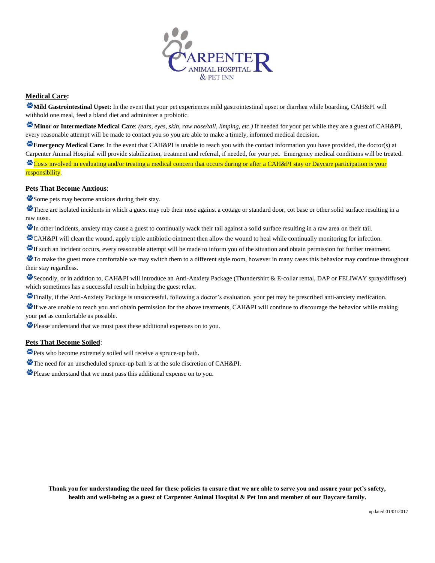

## **Medical Care:**

**Mild Gastrointestinal Upset:** In the event that your pet experiences mild gastrointestinal upset or diarrhea while boarding, CAH&PI will withhold one meal, feed a bland diet and administer a probiotic.

**Minor or Intermediate Medical Care**: *(ears, eyes, skin, raw nose/tail, limping, etc.)* If needed for your pet while they are a guest of CAH&PI, every reasonable attempt will be made to contact you so you are able to make a timely, informed medical decision.

**Emergency Medical Care**: In the event that CAH&PI is unable to reach you with the contact information you have provided, the doctor(s) at Carpenter Animal Hospital will provide stabilization, treatment and referral, if needed, for your pet. Emergency medical conditions will be treated.

Costs involved in evaluating and/or treating a medical concern that occurs during or after a CAH&PI stay or Daycare participation is your responsibility.

#### **Pets That Become Anxious**:

Some pets may become anxious during their stay.

There are isolated incidents in which a guest may rub their nose against a cottage or standard door, cot base or other solid surface resulting in a raw nose.

In other incidents, anxiety may cause a guest to continually wack their tail against a solid surface resulting in a raw area on their tail.

CAH&PI will clean the wound, apply triple antibiotic ointment then allow the wound to heal while continually monitoring for infection.

If such an incident occurs, every reasonable attempt will be made to inform you of the situation and obtain permission for further treatment.

To make the guest more comfortable we may switch them to a different style room, however in many cases this behavior may continue throughout their stay regardless.

Secondly, or in addition to, CAH&PI will introduce an Anti-Anxiety Package (Thundershirt & E-collar rental, DAP or FELIWAY spray/diffuser) which sometimes has a successful result in helping the guest relax.

Finally, if the Anti-Anxiety Package is unsuccessful, following a doctor's evaluation, your pet may be prescribed anti-anxiety medication.

If we are unable to reach you and obtain permission for the above treatments, CAH&PI will continue to discourage the behavior while making your pet as comfortable as possible.

Please understand that we must pass these additional expenses on to you.

## **Pets That Become Soiled**:

Pets who become extremely soiled will receive a spruce-up bath.

The need for an unscheduled spruce-up bath is at the sole discretion of CAH&PI.

Please understand that we must pass this additional expense on to you.

**Thank you for understanding the need for these policies to ensure that we are able to serve you and assure your pet's safety, health and well-being as a guest of Carpenter Animal Hospital & Pet Inn and member of our Daycare family.**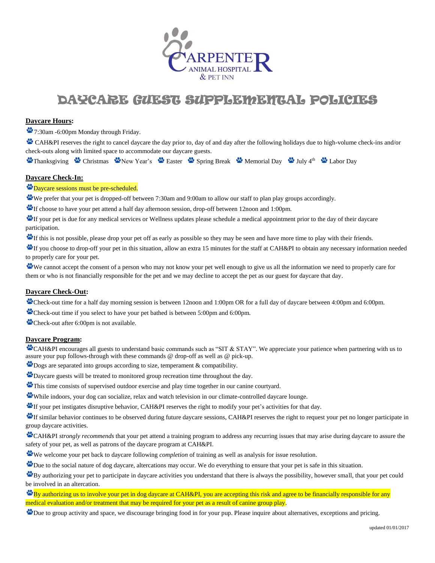

## DAYCARE GUEST SUPPLEMENTAL POLICIES

### **Daycare Hours:**

7:30am -6:00pm Monday through Friday.

CAH&PI reserves the right to cancel daycare the day prior to, day of and day after the following holidays due to high-volume check-ins and/or check-outs along with limited space to accommodate our daycare guests.

Thanksgiving Christmas Chew Year's Chaster Construction Break Construction Day Christmas Chew Year's Chaster Const

## **Daycare Check-In:**

**Daycare sessions must be pre-scheduled.** 

We prefer that your pet is dropped-off between 7:30am and 9:00am to allow our staff to plan play groups accordingly.

If choose to have your pet attend a half day afternoon session, drop-off between 12noon and 1:00pm.

If your pet is due for any medical services or Wellness updates please schedule a medical appointment prior to the day of their daycare participation.

If this is not possible, please drop your pet off as early as possible so they may be seen and have more time to play with their friends.

If you choose to drop-off your pet in this situation, allow an extra 15 minutes for the staff at CAH&PI to obtain any necessary information needed to properly care for your pet.

We cannot accept the consent of a person who may not know your pet well enough to give us all the information we need to properly care for them or who is not financially responsible for the pet and we may decline to accept the pet as our guest for daycare that day.

### **Daycare Check-Out:**

Check-out time for a half day morning session is between 12noon and 1:00pm OR for a full day of daycare between 4:00pm and 6:00pm.

Check-out time if you select to have your pet bathed is between 5:00pm and 6:00pm.

Check-out after 6:00pm is not available.

#### **Daycare Program:**

CAH&PI encourages all guests to understand basic commands such as "SIT & STAY". We appreciate your patience when partnering with us to assure your pup follows-through with these commands @ drop-off as well as @ pick-up.

 $\mathbf{\mathcal{L}}$  Dogs are separated into groups according to size, temperament  $\&$  compatibility.

Daycare guests will be treated to monitored group recreation time throughout the day.

This time consists of supervised outdoor exercise and play time together in our canine courtyard.

While indoors, your dog can socialize, relax and watch television in our climate-controlled daycare lounge.

If your pet instigates disruptive behavior, CAH&PI reserves the right to modify your pet's activities for that day.

If similar behavior continues to be observed during future daycare sessions, CAH&PI reserves the right to request your pet no longer participate in group daycare activities.

CAH&PI *strongly recommends* that your pet attend a training program to address any recurring issues that may arise during daycare to assure the safety of your pet, as well as patrons of the daycare program at CAH&PI.

We welcome your pet back to daycare following *completion* of training as well as analysis for issue resolution.

Due to the social nature of dog daycare, altercations may occur. We do everything to ensure that your pet is safe in this situation.

 $\mathbf{B}$ y authorizing your pet to participate in daycare activities you understand that there is always the possibility, however small, that your pet could be involved in an altercation.

 $\mathbf{B}_{\text{y}}$  authorizing us to involve your pet in dog daycare at CAH&PI, you are accepting this risk and agree to be financially responsible for any medical evaluation and/or treatment that may be required for your pet as a result of canine group play.

Due to group activity and space, we discourage bringing food in for your pup. Please inquire about alternatives, exceptions and pricing.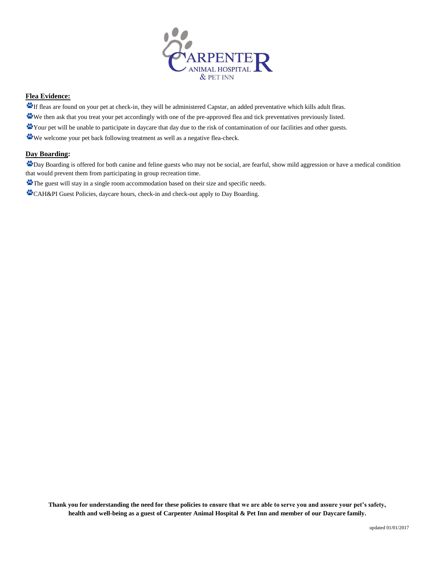

## **Flea Evidence:**

- If fleas are found on your pet at check-in, they will be administered Capstar, an added preventative which kills adult fleas.
- We then ask that you treat your pet accordingly with one of the pre-approved flea and tick preventatives previously listed.
- Your pet will be unable to participate in daycare that day due to the risk of contamination of our facilities and other guests.
- We welcome your pet back following treatment as well as a negative flea-check.

## **Day Boarding:**

Day Boarding is offered for both canine and feline guests who may not be social, are fearful, show mild aggression or have a medical condition that would prevent them from participating in group recreation time.

The guest will stay in a single room accommodation based on their size and specific needs.

CAH&PI Guest Policies, daycare hours, check-in and check-out apply to Day Boarding.

**Thank you for understanding the need for these policies to ensure that we are able to serve you and assure your pet's safety, health and well-being as a guest of Carpenter Animal Hospital & Pet Inn and member of our Daycare family.**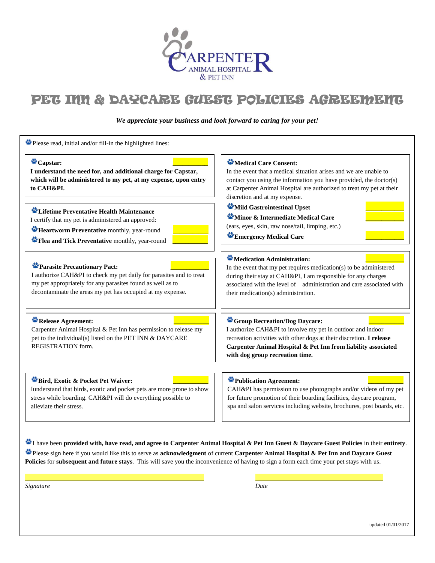

# PET INN & DAYCARE GUEST POLICIES AGREEMENT

*We appreciate your business and look forward to caring for your pet!*

| Capstar:<br>I understand the need for, and additional charge for Capstar,<br>which will be administered to my pet, at my expense, upon entry<br>to CAH&PI.                                                                      | Medical Care Consent:<br>In the event that a medical situation arises and we are unable to<br>contact you using the information you have provided, the doctor(s)<br>at Carpenter Animal Hospital are authorized to treat my pet at their<br>discretion and at my expense.            |
|---------------------------------------------------------------------------------------------------------------------------------------------------------------------------------------------------------------------------------|--------------------------------------------------------------------------------------------------------------------------------------------------------------------------------------------------------------------------------------------------------------------------------------|
| Lifetime Preventative Health Maintenance<br>I certify that my pet is administered an approved:<br>Heartworm Preventative monthly, year-round<br>Flea and Tick Preventative monthly, year-round                                  | Mild Gastrointestinal Upset<br>Minor & Intermediate Medical Care<br>(ears, eyes, skin, raw nose/tail, limping, etc.)<br>Emergency Medical Care                                                                                                                                       |
| Parasite Precautionary Pact:<br>I authorize CAH&PI to check my pet daily for parasites and to treat<br>my pet appropriately for any parasites found as well as to<br>decontaminate the areas my pet has occupied at my expense. | Medication Administration:<br>In the event that my pet requires medication(s) to be administered<br>during their stay at CAH&PI, I am responsible for any charges<br>associated with the level of administration and care associated with<br>their medication(s) administration.     |
| Release Agreement:<br>Carpenter Animal Hospital & Pet Inn has permission to release my<br>pet to the individual(s) listed on the PET INN & DAYCARE<br>REGISTRATION form.                                                        | <sup>2</sup> Group Recreation/Dog Daycare:<br>I authorize CAH&PI to involve my pet in outdoor and indoor<br>recreation activities with other dogs at their discretion. I release<br>Carpenter Animal Hospital & Pet Inn from liability associated<br>with dog group recreation time. |
| Bird, Exotic & Pocket Pet Waiver:<br>Iunderstand that birds, exotic and pocket pets are more prone to show<br>stress while boarding. CAH&PI will do everything possible to<br>alleviate their stress.                           | Publication Agreement:<br>CAH&PI has permission to use photographs and/or videos of my pet<br>for future promotion of their boarding facilities, daycare program,<br>spa and salon services including website, brochures, post boards, etc.                                          |

I have been **provided with, have read, and agree to Carpenter Animal Hospital & Pet Inn Guest & Daycare Guest Policies** in their **entirety**. Please sign here if you would like this to serve as **acknowledgment** of current **Carpenter Animal Hospital & Pet Inn and Daycare Guest Policies** for **subsequent and future stays**. This will save you the inconvenience of having to sign a form each time your pet stays with us.

Signature *Signature Date*